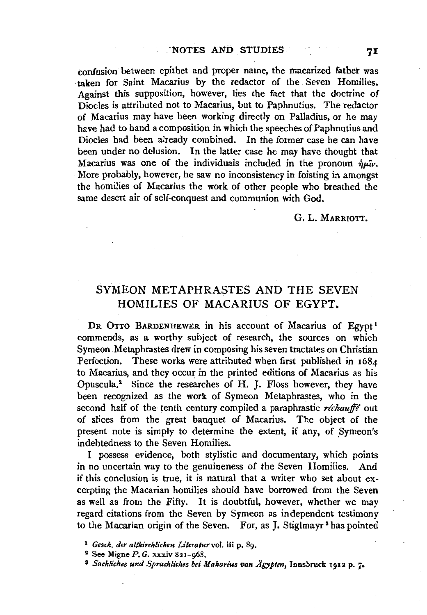confusion between epithet and proper name, the macarized father was ·taken for Saint Macarius by the redactor of the Seven Homilies. Against this supposition, however, lies the fact that the doctrine of Diodes is attributed not to Macarius, hut to Paphnutius. The redactor of Macarius may have been working directly on Palladius, or he may have had to hand a composition in which the speeches of Paphnutius and Diodes had been already combined. In the former case he can have been under no delusion. In the latter case he may have thought that Macarius was one of the individuals included in the pronoun  $\hat{n}u\hat{i}v$ . . More probably, however, he saw no inconsistency in foisting in amongst the homilies of Macarius the work of other people who breathed the same desert air of self-conquest and communion with God.

## G. L. MARRIOTT.

## SYMEON METAPHRASTES AND THE SEVEN HOMILIES OF MACARIUS OF EGYPT.

DR OTTO BARDENHEWER in his account of Macarius of Egypt<sup>1</sup> commends, as a worthy subject of research, the sources on which Symeon Metaphrastes drew in composing his seven tractates on Christian Perfection. These works were attributed when first published in 1684 to Macarius, and they occur in the printed editions of Macarius as his Opuscula.<sup>2</sup> Since the researches of H. J. Floss however, they have been recognized as the work of Symeon Metaphrastes, who in the second half of the tenth century compiled a paraphrastic *réchauffé* out of slices from the great banquet of Macarius. The object of the present note is simply to determine the extent, if any, of Symeon's indebtedness to the Seven Homilies.

I possess evidence, both stylistic and documentary, which points in no uncertain way to the genuineness of the Seven Homilies. And if this conclusion is true, it is natural that a writer who set about excerpting the Macarian homilies should have borrowed from the Seven as well as from the Fifty. It is doubtful, however, whether we may regard citations from the Seven by Symeon as independent testimony to the Macarian origin of the Seven. For, as J. Stiglmayr<sup>3</sup> has pointed

<sup>2</sup> See Migne  $P. G.$  xxxiv 821-068.

<sup>1</sup> *Gesch. der altkirchlichen Litetatur* vol. iii p. 89.

<sup>&</sup>lt;sup>3</sup> Sachliches und Sprachliches bei Makarius von Ägypten, Innsbruck 1912 p. 7.